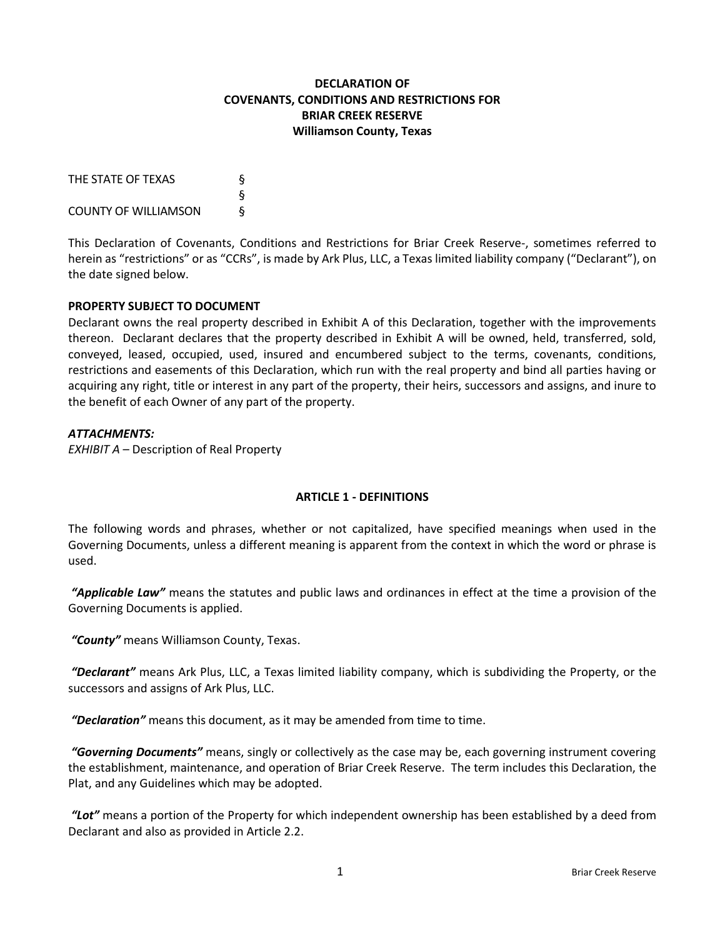# **DECLARATION OF COVENANTS, CONDITIONS AND RESTRICTIONS FOR BRIAR CREEK RESERVE Williamson County, Texas**

| THE STATE OF TEXAS          | δ |
|-----------------------------|---|
|                             | δ |
| <b>COUNTY OF WILLIAMSON</b> | δ |

This Declaration of Covenants, Conditions and Restrictions for Briar Creek Reserve-, sometimes referred to herein as "restrictions" or as "CCRs", is made by Ark Plus, LLC, a Texas limited liability company ("Declarant"), on the date signed below.

## **PROPERTY SUBJECT TO DOCUMENT**

Declarant owns the real property described in Exhibit A of this Declaration, together with the improvements thereon. Declarant declares that the property described in Exhibit A will be owned, held, transferred, sold, conveyed, leased, occupied, used, insured and encumbered subject to the terms, covenants, conditions, restrictions and easements of this Declaration, which run with the real property and bind all parties having or acquiring any right, title or interest in any part of the property, their heirs, successors and assigns, and inure to the benefit of each Owner of any part of the property.

#### *ATTACHMENTS:*

*EXHIBIT A* – Description of Real Property

## **ARTICLE 1 - DEFINITIONS**

The following words and phrases, whether or not capitalized, have specified meanings when used in the Governing Documents, unless a different meaning is apparent from the context in which the word or phrase is used.

*"Applicable Law"* means the statutes and public laws and ordinances in effect at the time a provision of the Governing Documents is applied.

*"County"* means Williamson County, Texas.

*"Declarant"* means Ark Plus, LLC, a Texas limited liability company, which is subdividing the Property, or the successors and assigns of Ark Plus, LLC.

*"Declaration"* means this document, as it may be amended from time to time.

*"Governing Documents"* means, singly or collectively as the case may be, each governing instrument covering the establishment, maintenance, and operation of Briar Creek Reserve. The term includes this Declaration, the Plat, and any Guidelines which may be adopted.

*"Lot"* means a portion of the Property for which independent ownership has been established by a deed from Declarant and also as provided in Article 2.2.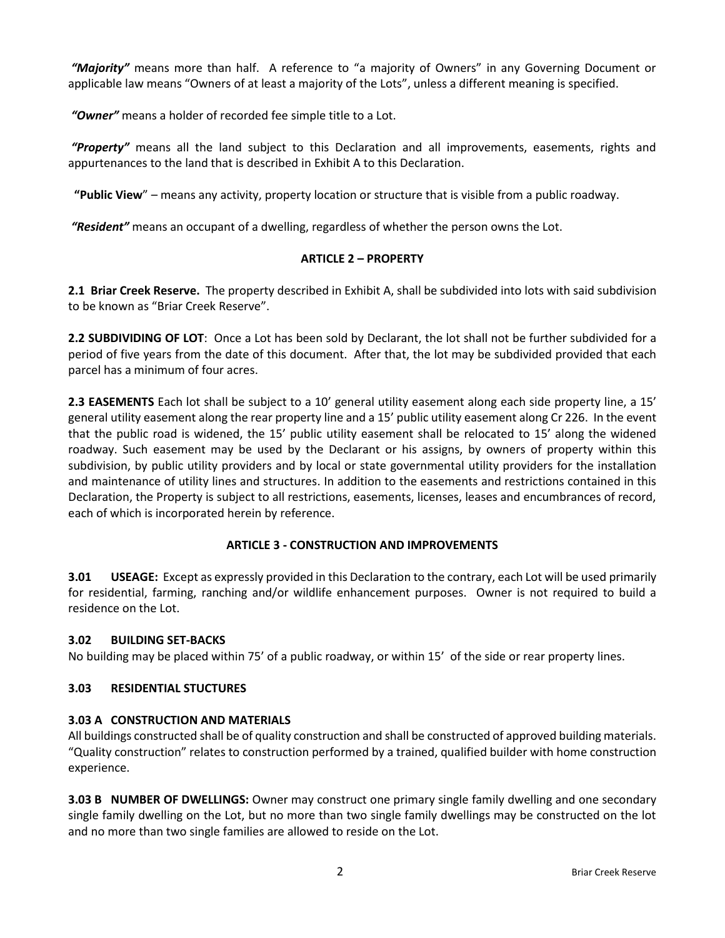*"Majority"* means more than half. A reference to "a majority of Owners" in any Governing Document or applicable law means "Owners of at least a majority of the Lots", unless a different meaning is specified.

*"Owner"* means a holder of recorded fee simple title to a Lot.

*"Property"* means all the land subject to this Declaration and all improvements, easements, rights and appurtenances to the land that is described in Exhibit A to this Declaration.

**"Public View**" – means any activity, property location or structure that is visible from a public roadway.

*"Resident"* means an occupant of a dwelling, regardless of whether the person owns the Lot.

#### **ARTICLE 2 – PROPERTY**

**2.1 Briar Creek Reserve.** The property described in Exhibit A, shall be subdivided into lots with said subdivision to be known as "Briar Creek Reserve".

**2.2 SUBDIVIDING OF LOT**: Once a Lot has been sold by Declarant, the lot shall not be further subdivided for a period of five years from the date of this document. After that, the lot may be subdivided provided that each parcel has a minimum of four acres.

**2.3 EASEMENTS** Each lot shall be subject to a 10' general utility easement along each side property line, a 15' general utility easement along the rear property line and a 15' public utility easement along Cr 226. In the event that the public road is widened, the 15' public utility easement shall be relocated to 15' along the widened roadway. Such easement may be used by the Declarant or his assigns, by owners of property within this subdivision, by public utility providers and by local or state governmental utility providers for the installation and maintenance of utility lines and structures. In addition to the easements and restrictions contained in this Declaration, the Property is subject to all restrictions, easements, licenses, leases and encumbrances of record, each of which is incorporated herein by reference.

## **ARTICLE 3 - CONSTRUCTION AND IMPROVEMENTS**

**3.01 USEAGE:** Except as expressly provided in this Declaration to the contrary, each Lot will be used primarily for residential, farming, ranching and/or wildlife enhancement purposes. Owner is not required to build a residence on the Lot.

#### **3.02 BUILDING SET-BACKS**

No building may be placed within 75' of a public roadway, or within 15' of the side or rear property lines.

#### **3.03 RESIDENTIAL STUCTURES**

#### **3.03 A CONSTRUCTION AND MATERIALS**

All buildings constructed shall be of quality construction and shall be constructed of approved building materials. "Quality construction" relates to construction performed by a trained, qualified builder with home construction experience.

**3.03 B NUMBER OF DWELLINGS:** Owner may construct one primary single family dwelling and one secondary single family dwelling on the Lot, but no more than two single family dwellings may be constructed on the lot and no more than two single families are allowed to reside on the Lot.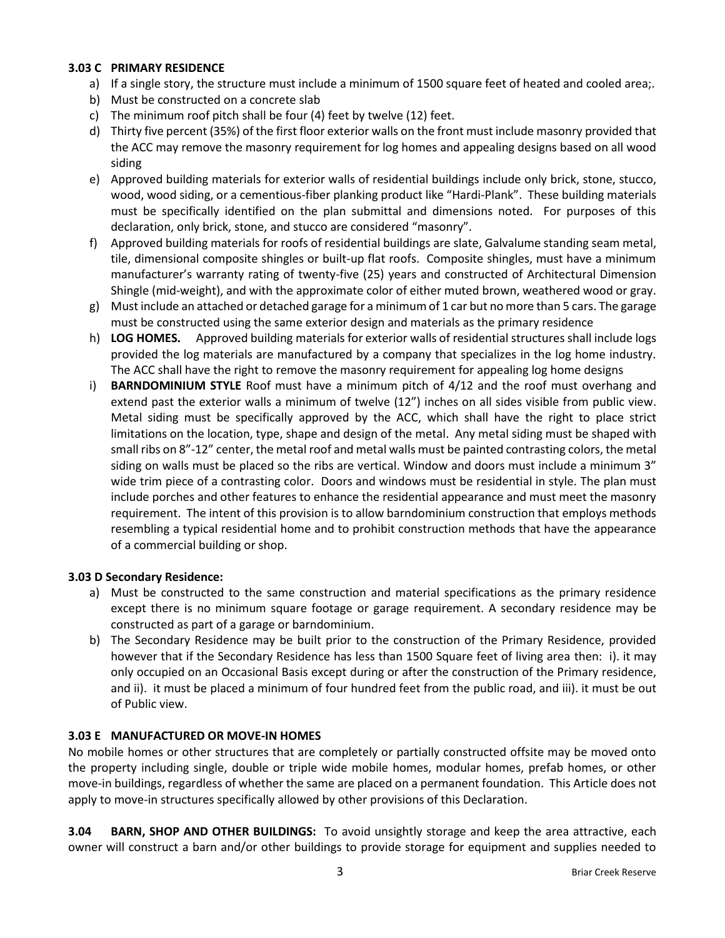#### **3.03 C PRIMARY RESIDENCE**

- a) If a single story, the structure must include a minimum of 1500 square feet of heated and cooled area;.
- b) Must be constructed on a concrete slab
- c) The minimum roof pitch shall be four (4) feet by twelve (12) feet.
- d) Thirty five percent (35%) of the first floor exterior walls on the front must include masonry provided that the ACC may remove the masonry requirement for log homes and appealing designs based on all wood siding
- e) Approved building materials for exterior walls of residential buildings include only brick, stone, stucco, wood, wood siding, or a cementious-fiber planking product like "Hardi-Plank". These building materials must be specifically identified on the plan submittal and dimensions noted. For purposes of this declaration, only brick, stone, and stucco are considered "masonry".
- f) Approved building materials for roofs of residential buildings are slate, Galvalume standing seam metal, tile, dimensional composite shingles or built-up flat roofs. Composite shingles, must have a minimum manufacturer's warranty rating of twenty-five (25) years and constructed of Architectural Dimension Shingle (mid-weight), and with the approximate color of either muted brown, weathered wood or gray.
- g) Must include an attached or detached garage for a minimum of 1 car but no more than 5 cars. The garage must be constructed using the same exterior design and materials as the primary residence
- h) **LOG HOMES.** Approved building materials for exterior walls of residential structures shall include logs provided the log materials are manufactured by a company that specializes in the log home industry. The ACC shall have the right to remove the masonry requirement for appealing log home designs
- i) **BARNDOMINIUM STYLE** Roof must have a minimum pitch of 4/12 and the roof must overhang and extend past the exterior walls a minimum of twelve (12") inches on all sides visible from public view. Metal siding must be specifically approved by the ACC, which shall have the right to place strict limitations on the location, type, shape and design of the metal. Any metal siding must be shaped with small ribs on 8"-12" center, the metal roof and metal walls must be painted contrasting colors, the metal siding on walls must be placed so the ribs are vertical. Window and doors must include a minimum 3" wide trim piece of a contrasting color. Doors and windows must be residential in style. The plan must include porches and other features to enhance the residential appearance and must meet the masonry requirement. The intent of this provision is to allow barndominium construction that employs methods resembling a typical residential home and to prohibit construction methods that have the appearance of a commercial building or shop.

## **3.03 D Secondary Residence:**

- a) Must be constructed to the same construction and material specifications as the primary residence except there is no minimum square footage or garage requirement. A secondary residence may be constructed as part of a garage or barndominium.
- b) The Secondary Residence may be built prior to the construction of the Primary Residence, provided however that if the Secondary Residence has less than 1500 Square feet of living area then: i). it may only occupied on an Occasional Basis except during or after the construction of the Primary residence, and ii). it must be placed a minimum of four hundred feet from the public road, and iii). it must be out of Public view.

## **3.03 E MANUFACTURED OR MOVE-IN HOMES**

No mobile homes or other structures that are completely or partially constructed offsite may be moved onto the property including single, double or triple wide mobile homes, modular homes, prefab homes, or other move-in buildings, regardless of whether the same are placed on a permanent foundation. This Article does not apply to move-in structures specifically allowed by other provisions of this Declaration.

**3.04 BARN, SHOP AND OTHER BUILDINGS:** To avoid unsightly storage and keep the area attractive, each owner will construct a barn and/or other buildings to provide storage for equipment and supplies needed to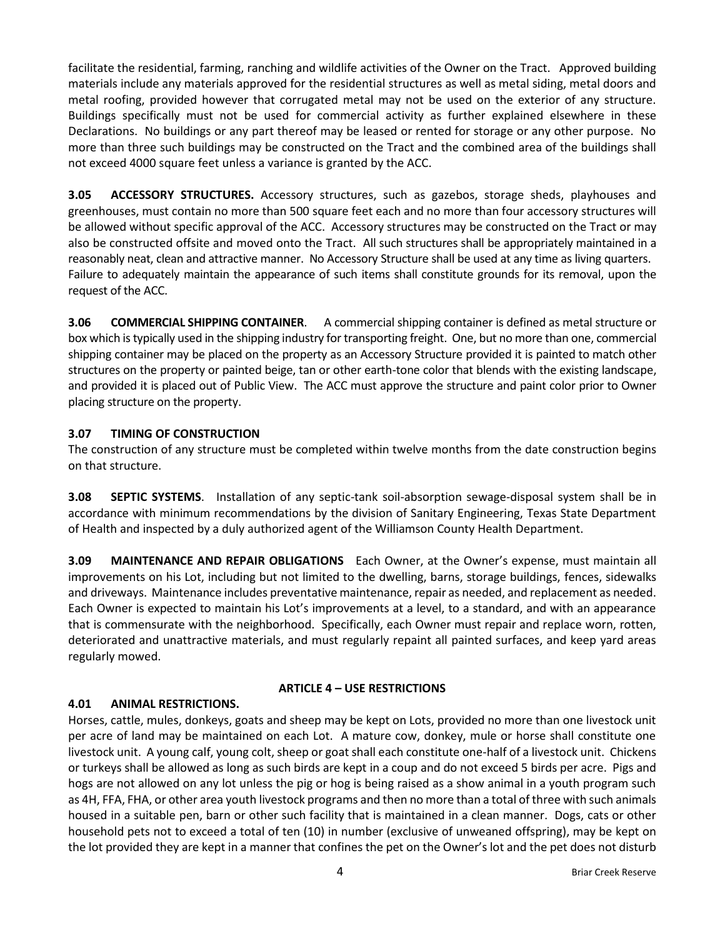facilitate the residential, farming, ranching and wildlife activities of the Owner on the Tract. Approved building materials include any materials approved for the residential structures as well as metal siding, metal doors and metal roofing, provided however that corrugated metal may not be used on the exterior of any structure. Buildings specifically must not be used for commercial activity as further explained elsewhere in these Declarations. No buildings or any part thereof may be leased or rented for storage or any other purpose. No more than three such buildings may be constructed on the Tract and the combined area of the buildings shall not exceed 4000 square feet unless a variance is granted by the ACC.

**3.05 ACCESSORY STRUCTURES.** Accessory structures, such as gazebos, storage sheds, playhouses and greenhouses, must contain no more than 500 square feet each and no more than four accessory structures will be allowed without specific approval of the ACC. Accessory structures may be constructed on the Tract or may also be constructed offsite and moved onto the Tract. All such structures shall be appropriately maintained in a reasonably neat, clean and attractive manner. No Accessory Structure shall be used at any time as living quarters. Failure to adequately maintain the appearance of such items shall constitute grounds for its removal, upon the request of the ACC.

**3.06 COMMERCIAL SHIPPING CONTAINER**. A commercial shipping container is defined as metal structure or box which is typically used in the shipping industry for transporting freight. One, but no more than one, commercial shipping container may be placed on the property as an Accessory Structure provided it is painted to match other structures on the property or painted beige, tan or other earth-tone color that blends with the existing landscape, and provided it is placed out of Public View. The ACC must approve the structure and paint color prior to Owner placing structure on the property.

# **3.07 TIMING OF CONSTRUCTION**

The construction of any structure must be completed within twelve months from the date construction begins on that structure.

**3.08 SEPTIC SYSTEMS**. Installation of any septic-tank soil-absorption sewage-disposal system shall be in accordance with minimum recommendations by the division of Sanitary Engineering, Texas State Department of Health and inspected by a duly authorized agent of the Williamson County Health Department.

**3.09 MAINTENANCE AND REPAIR OBLIGATIONS** Each Owner, at the Owner's expense, must maintain all improvements on his Lot, including but not limited to the dwelling, barns, storage buildings, fences, sidewalks and driveways. Maintenance includes preventative maintenance, repair as needed, and replacement as needed. Each Owner is expected to maintain his Lot's improvements at a level, to a standard, and with an appearance that is commensurate with the neighborhood. Specifically, each Owner must repair and replace worn, rotten, deteriorated and unattractive materials, and must regularly repaint all painted surfaces, and keep yard areas regularly mowed.

## **ARTICLE 4 – USE RESTRICTIONS**

## **4.01 ANIMAL RESTRICTIONS.**

Horses, cattle, mules, donkeys, goats and sheep may be kept on Lots, provided no more than one livestock unit per acre of land may be maintained on each Lot. A mature cow, donkey, mule or horse shall constitute one livestock unit. A young calf, young colt, sheep or goat shall each constitute one-half of a livestock unit. Chickens or turkeys shall be allowed as long as such birds are kept in a coup and do not exceed 5 birds per acre. Pigs and hogs are not allowed on any lot unless the pig or hog is being raised as a show animal in a youth program such as 4H, FFA, FHA, or other area youth livestock programs and then no more than a total of three with such animals housed in a suitable pen, barn or other such facility that is maintained in a clean manner. Dogs, cats or other household pets not to exceed a total of ten (10) in number (exclusive of unweaned offspring), may be kept on the lot provided they are kept in a manner that confines the pet on the Owner's lot and the pet does not disturb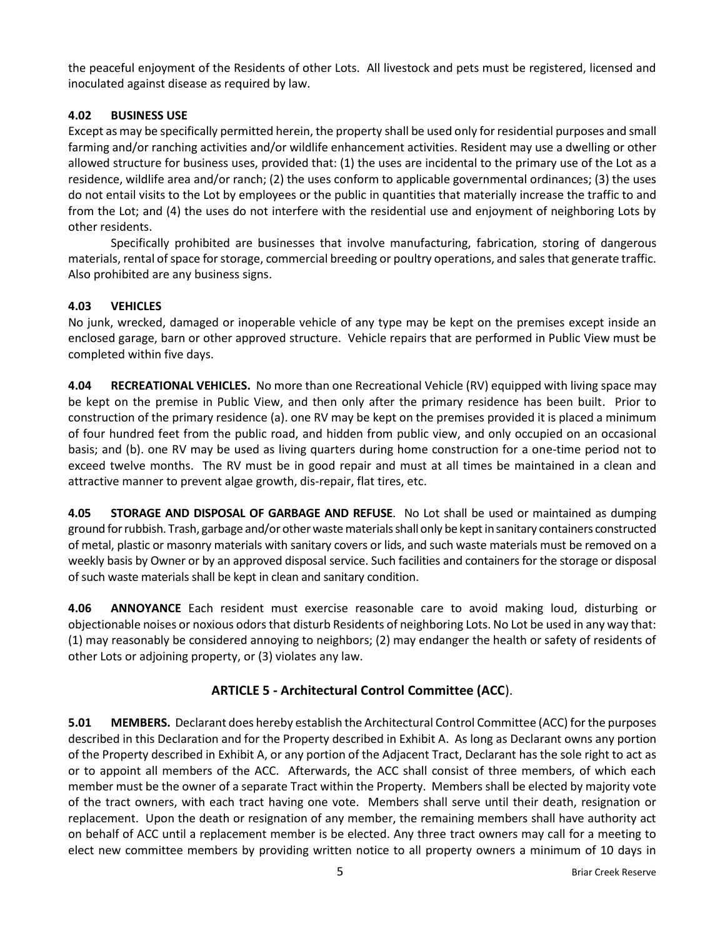the peaceful enjoyment of the Residents of other Lots. All livestock and pets must be registered, licensed and inoculated against disease as required by law.

# **4.02 BUSINESS USE**

Except as may be specifically permitted herein, the property shall be used only for residential purposes and small farming and/or ranching activities and/or wildlife enhancement activities. Resident may use a dwelling or other allowed structure for business uses, provided that: (1) the uses are incidental to the primary use of the Lot as a residence, wildlife area and/or ranch; (2) the uses conform to applicable governmental ordinances; (3) the uses do not entail visits to the Lot by employees or the public in quantities that materially increase the traffic to and from the Lot; and (4) the uses do not interfere with the residential use and enjoyment of neighboring Lots by other residents.

Specifically prohibited are businesses that involve manufacturing, fabrication, storing of dangerous materials, rental of space for storage, commercial breeding or poultry operations, and sales that generate traffic. Also prohibited are any business signs.

# **4.03 VEHICLES**

No junk, wrecked, damaged or inoperable vehicle of any type may be kept on the premises except inside an enclosed garage, barn or other approved structure. Vehicle repairs that are performed in Public View must be completed within five days.

**4.04 RECREATIONAL VEHICLES.** No more than one Recreational Vehicle (RV) equipped with living space may be kept on the premise in Public View, and then only after the primary residence has been built. Prior to construction of the primary residence (a). one RV may be kept on the premises provided it is placed a minimum of four hundred feet from the public road, and hidden from public view, and only occupied on an occasional basis; and (b). one RV may be used as living quarters during home construction for a one-time period not to exceed twelve months. The RV must be in good repair and must at all times be maintained in a clean and attractive manner to prevent algae growth, dis-repair, flat tires, etc.

**4.05 STORAGE AND DISPOSAL OF GARBAGE AND REFUSE**. No Lot shall be used or maintained as dumping ground for rubbish. Trash, garbage and/or other waste materials shall only be kept in sanitary containers constructed of metal, plastic or masonry materials with sanitary covers or lids, and such waste materials must be removed on a weekly basis by Owner or by an approved disposal service. Such facilities and containers for the storage or disposal of such waste materials shall be kept in clean and sanitary condition.

**4.06 ANNOYANCE** Each resident must exercise reasonable care to avoid making loud, disturbing or objectionable noises or noxious odors that disturb Residents of neighboring Lots. No Lot be used in any way that: (1) may reasonably be considered annoying to neighbors; (2) may endanger the health or safety of residents of other Lots or adjoining property, or (3) violates any law.

# **ARTICLE 5 - Architectural Control Committee (ACC**).

**5.01 MEMBERS.** Declarant does hereby establish the Architectural Control Committee (ACC) for the purposes described in this Declaration and for the Property described in Exhibit A. As long as Declarant owns any portion of the Property described in Exhibit A, or any portion of the Adjacent Tract, Declarant has the sole right to act as or to appoint all members of the ACC. Afterwards, the ACC shall consist of three members, of which each member must be the owner of a separate Tract within the Property. Members shall be elected by majority vote of the tract owners, with each tract having one vote. Members shall serve until their death, resignation or replacement. Upon the death or resignation of any member, the remaining members shall have authority act on behalf of ACC until a replacement member is be elected. Any three tract owners may call for a meeting to elect new committee members by providing written notice to all property owners a minimum of 10 days in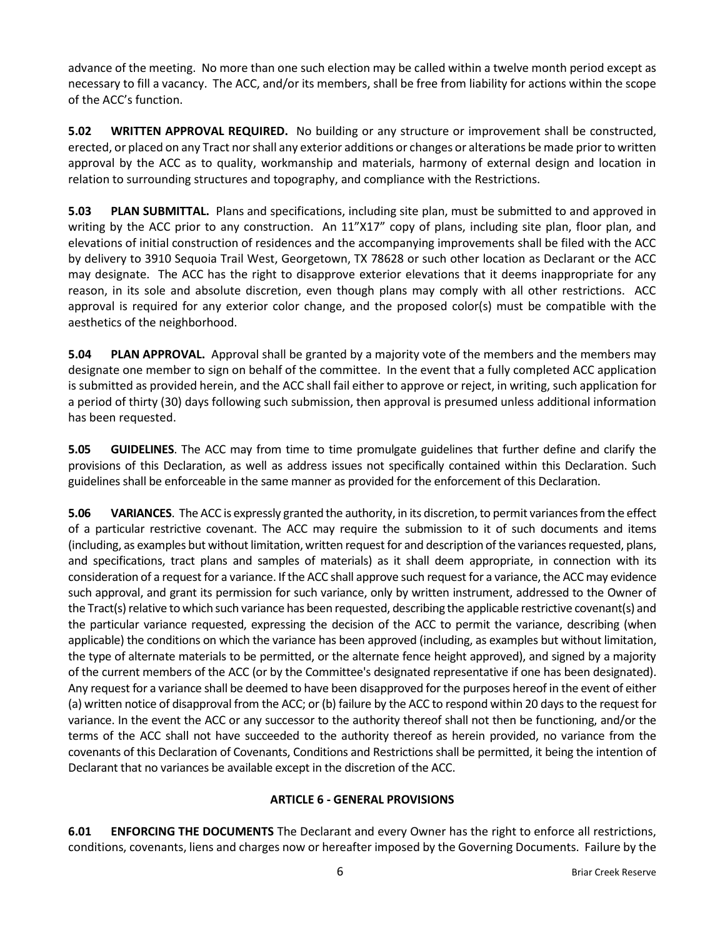advance of the meeting. No more than one such election may be called within a twelve month period except as necessary to fill a vacancy. The ACC, and/or its members, shall be free from liability for actions within the scope of the ACC's function.

**5.02 WRITTEN APPROVAL REQUIRED.** No building or any structure or improvement shall be constructed, erected, or placed on any Tract nor shall any exterior additions or changes or alterations be made prior to written approval by the ACC as to quality, workmanship and materials, harmony of external design and location in relation to surrounding structures and topography, and compliance with the Restrictions.

**5.03 PLAN SUBMITTAL.** Plans and specifications, including site plan, must be submitted to and approved in writing by the ACC prior to any construction. An 11"X17" copy of plans, including site plan, floor plan, and elevations of initial construction of residences and the accompanying improvements shall be filed with the ACC by delivery to 3910 Sequoia Trail West, Georgetown, TX 78628 or such other location as Declarant or the ACC may designate. The ACC has the right to disapprove exterior elevations that it deems inappropriate for any reason, in its sole and absolute discretion, even though plans may comply with all other restrictions. ACC approval is required for any exterior color change, and the proposed color(s) must be compatible with the aesthetics of the neighborhood.

**5.04 PLAN APPROVAL.** Approval shall be granted by a majority vote of the members and the members may designate one member to sign on behalf of the committee. In the event that a fully completed ACC application is submitted as provided herein, and the ACC shall fail either to approve or reject, in writing, such application for a period of thirty (30) days following such submission, then approval is presumed unless additional information has been requested.

**5.05 GUIDELINES**. The ACC may from time to time promulgate guidelines that further define and clarify the provisions of this Declaration, as well as address issues not specifically contained within this Declaration. Such guidelines shall be enforceable in the same manner as provided for the enforcement of this Declaration.

**5.06 VARIANCES**. The ACC is expressly granted the authority, in its discretion, to permit variances from the effect of a particular restrictive covenant. The ACC may require the submission to it of such documents and items (including, as examples but without limitation, written request for and description of the variances requested, plans, and specifications, tract plans and samples of materials) as it shall deem appropriate, in connection with its consideration of a request for a variance. If the ACC shall approve such request for a variance, the ACC may evidence such approval, and grant its permission for such variance, only by written instrument, addressed to the Owner of the Tract(s) relative to which such variance has been requested, describing the applicable restrictive covenant(s) and the particular variance requested, expressing the decision of the ACC to permit the variance, describing (when applicable) the conditions on which the variance has been approved (including, as examples but without limitation, the type of alternate materials to be permitted, or the alternate fence height approved), and signed by a majority of the current members of the ACC (or by the Committee's designated representative if one has been designated). Any request for a variance shall be deemed to have been disapproved for the purposes hereof in the event of either (a) written notice of disapproval from the ACC; or (b) failure by the ACC to respond within 20 days to the request for variance. In the event the ACC or any successor to the authority thereof shall not then be functioning, and/or the terms of the ACC shall not have succeeded to the authority thereof as herein provided, no variance from the covenants of this Declaration of Covenants, Conditions and Restrictions shall be permitted, it being the intention of Declarant that no variances be available except in the discretion of the ACC.

# **ARTICLE 6 - GENERAL PROVISIONS**

**6.01 ENFORCING THE DOCUMENTS** The Declarant and every Owner has the right to enforce all restrictions, conditions, covenants, liens and charges now or hereafter imposed by the Governing Documents. Failure by the